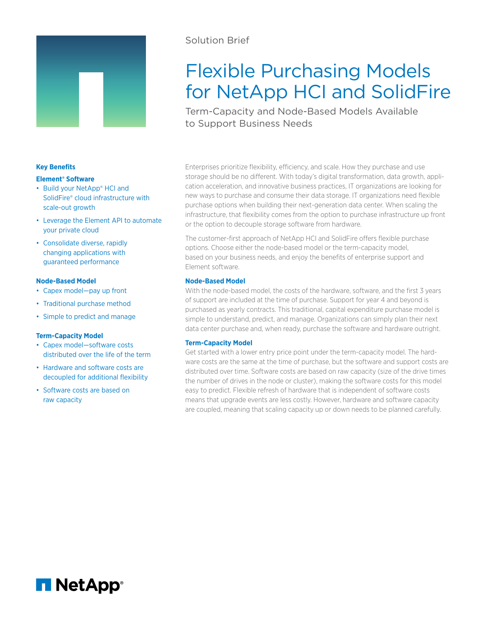

# Solution Brief

# Flexible Purchasing Models for NetApp HCI and SolidFire

Term-Capacity and Node-Based Models Available to Support Business Needs

Enterprises prioritize flexibility, efficiency, and scale. How they purchase and use storage should be no different. With today's digital transformation, data growth, application acceleration, and innovative business practices, IT organizations are looking for new ways to purchase and consume their data storage. IT organizations need flexible purchase options when building their next-generation data center. When scaling the infrastructure, that flexibility comes from the option to purchase infrastructure up front or the option to decouple storage software from hardware.

The customer-first approach of NetApp HCI and SolidFire offers flexible purchase options. Choose either the node-based model or the term-capacity model, based on your business needs, and enjoy the benefits of enterprise support and Element software.

# **Node-Based Model**

With the node-based model, the costs of the hardware, software, and the first 3 years of support are included at the time of purchase. Support for year 4 and beyond is purchased as yearly contracts. This traditional, capital expenditure purchase model is simple to understand, predict, and manage. Organizations can simply plan their next data center purchase and, when ready, purchase the software and hardware outright.

# **Term-Capacity Model**

Get started with a lower entry price point under the term-capacity model. The hardware costs are the same at the time of purchase, but the software and support costs are distributed over time. Software costs are based on raw capacity (size of the drive times the number of drives in the node or cluster), making the software costs for this model easy to predict. Flexible refresh of hardware that is independent of software costs means that upgrade events are less costly. However, hardware and software capacity are coupled, meaning that scaling capacity up or down needs to be planned carefully.

# **Key Benefits**

#### **Element® Software**

- Build your NetApp® HCI and SolidFire® cloud infrastructure with scale-out growth
- Leverage the Element API to automate your private cloud
- Consolidate diverse, rapidly changing applications with guaranteed performance

# **Node-Based Model**

- Capex model—pay up front
- Traditional purchase method
- Simple to predict and manage

# **Term-Capacity Model**

- Capex model—software costs distributed over the life of the term
- Hardware and software costs are decoupled for additional flexibility
- Software costs are based on raw capacity